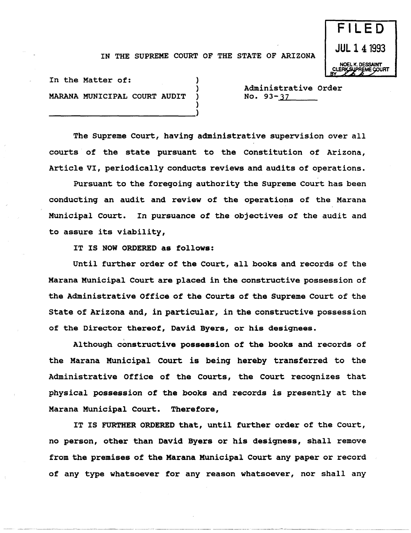## IN THE SUPREME COURT OF THE STATE OF ARIZONA

)

)



In the Matter of: MARANA MUNICIPAL COURT AUDIT

----------------------------)

Administrative Order<br>No. 93-<u>37</u>

The Supreme Court, having administrative supervision over all courts of the state pursuant to the Constitution of Arizona, Article VI, periodically conducts reviews and audits of operations.

Pursuant to the foregoing authority the Supreme Court has been conducting an audit and review of the operations of the Marana Municipal Court. In pursuance of the objectives of the audit and to assure its viability,

IT IS NOW ORDERED as follows:

Until further order of the Court, all books and records of the Marana Municipal Court are placed in the constructive possession of the Administrative Office of the Courts of the Supreme Court of the State of Arizona and, in particular, in the constructive possession of the Director thereof, David Byers, or his designees.

Although constructive possession of the books and records of the Marana Municipal Court is being hereby transferred to the Administrative Office of the Courts, the Court recognizes that physical possession of the books and records is presently at the Marana Municipal Court. Therefore,

IT IS FURTHER ORDERED that, until further order of the court, no person, other than David Byers or his desiqness, shall remove from the premises of the Marana Municipal Court any paper or record of any type whatsoever for any reason whatsoever, nor shall any